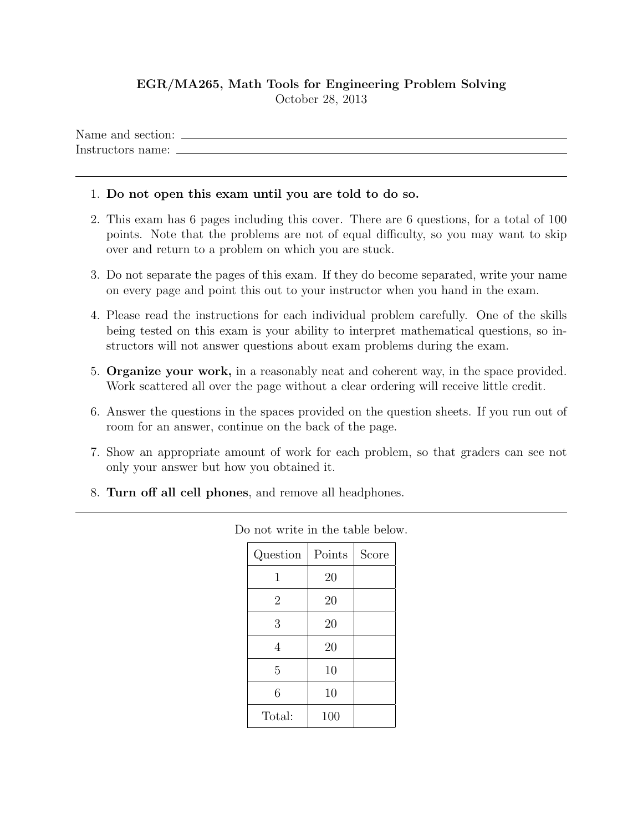## EGR/MA265, Math Tools for Engineering Problem Solving October 28, 2013

Name and section:  $\Box$ Instructors name:

## 1. Do not open this exam until you are told to do so.

- 2. This exam has 6 pages including this cover. There are 6 questions, for a total of 100 points. Note that the problems are not of equal difficulty, so you may want to skip over and return to a problem on which you are stuck.
- 3. Do not separate the pages of this exam. If they do become separated, write your name on every page and point this out to your instructor when you hand in the exam.
- 4. Please read the instructions for each individual problem carefully. One of the skills being tested on this exam is your ability to interpret mathematical questions, so instructors will not answer questions about exam problems during the exam.
- 5. Organize your work, in a reasonably neat and coherent way, in the space provided. Work scattered all over the page without a clear ordering will receive little credit.
- 6. Answer the questions in the spaces provided on the question sheets. If you run out of room for an answer, continue on the back of the page.
- 7. Show an appropriate amount of work for each problem, so that graders can see not only your answer but how you obtained it.
- 8. Turn off all cell phones, and remove all headphones.

| Question       | Points | Score |
|----------------|--------|-------|
| 1              | 20     |       |
| $\overline{2}$ | 20     |       |
| 3              | 20     |       |
| 4              | 20     |       |
| 5              | 10     |       |
| 6              | 10     |       |
| Total:         | 100    |       |

Do not write in the table below.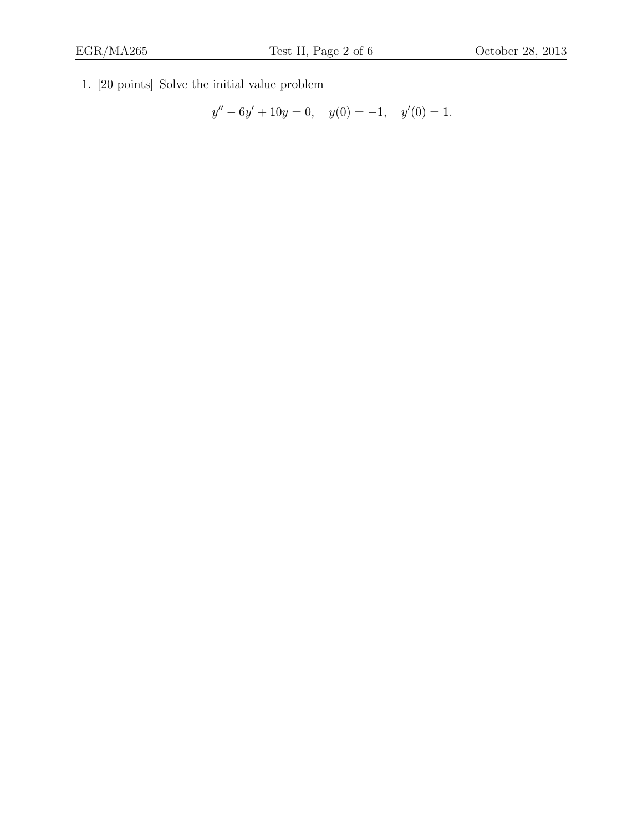1. [20 points] Solve the initial value problem

$$
y'' - 6y' + 10y = 0, \quad y(0) = -1, \quad y'(0) = 1.
$$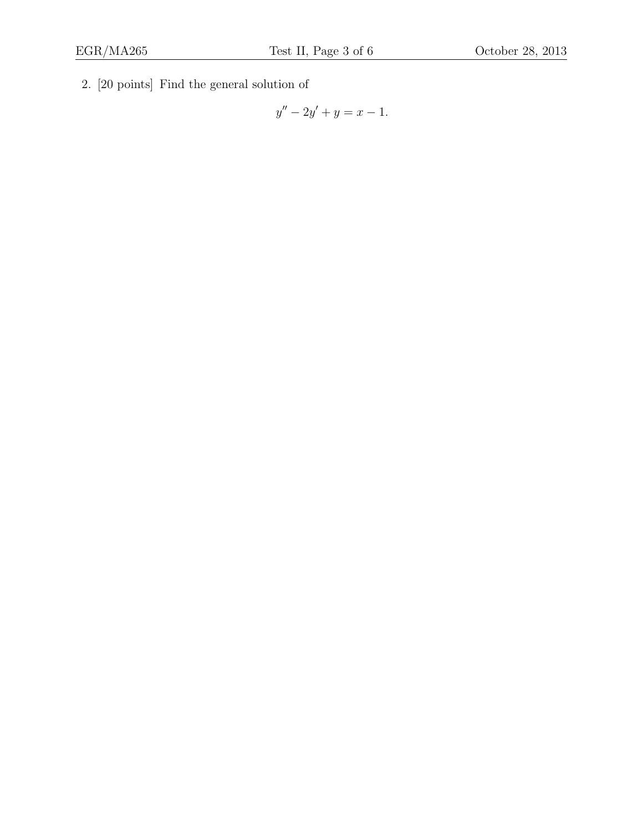2. [20 points] Find the general solution of

$$
y'' - 2y' + y = x - 1.
$$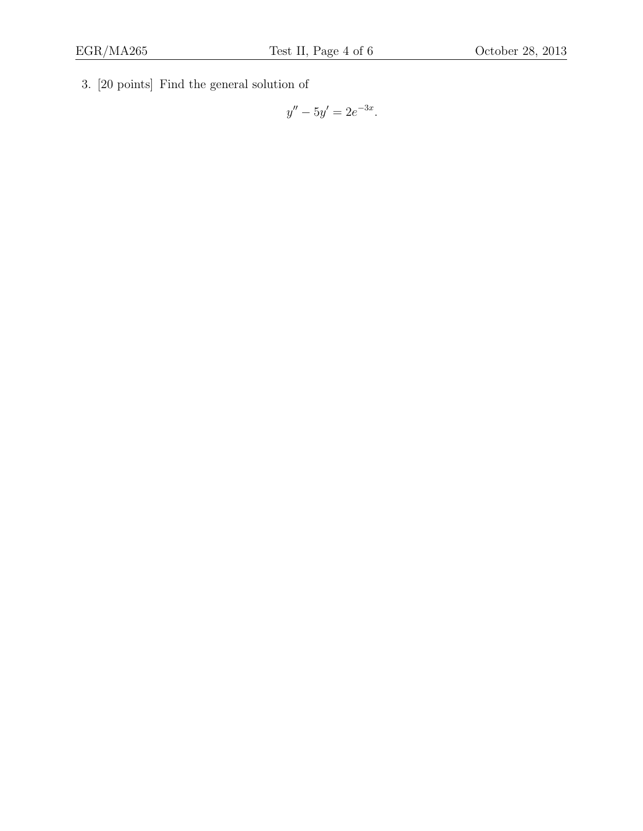3. [20 points] Find the general solution of

 $y'' - 5y' = 2e^{-3x}.$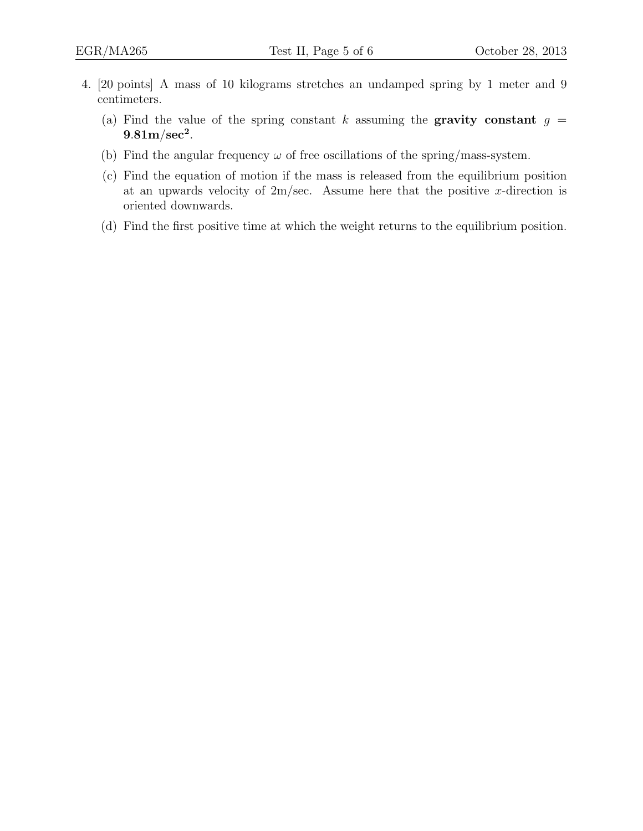- 4. [20 points] A mass of 10 kilograms stretches an undamped spring by 1 meter and 9 centimeters.
	- (a) Find the value of the spring constant k assuming the **gravity constant**  $g =$  $9.81 \mathrm{m/sec^2}.$
	- (b) Find the angular frequency  $\omega$  of free oscillations of the spring/mass-system.
	- (c) Find the equation of motion if the mass is released from the equilibrium position at an upwards velocity of  $2m/sec$ . Assume here that the positive x-direction is oriented downwards.
	- (d) Find the first positive time at which the weight returns to the equilibrium position.